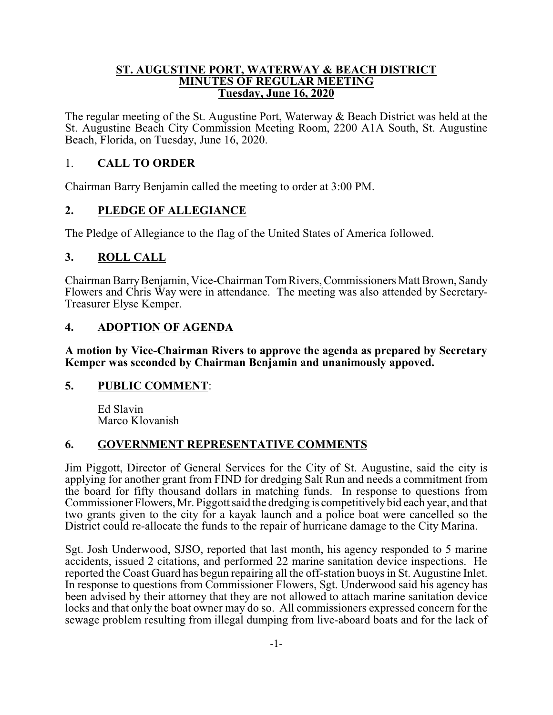#### **ST. AUGUSTINE PORT, WATERWAY & BEACH DISTRICT MINUTES OF REGULAR MEETING Tuesday, June 16, 2020**

The regular meeting of the St. Augustine Port, Waterway & Beach District was held at the St. Augustine Beach City Commission Meeting Room, 2200 A1A South, St. Augustine Beach, Florida, on Tuesday, June 16, 2020.

### 1. **CALL TO ORDER**

Chairman Barry Benjamin called the meeting to order at 3:00 PM.

### **2. PLEDGE OF ALLEGIANCE**

The Pledge of Allegiance to the flag of the United States of America followed.

## **3. ROLL CALL**

Chairman BarryBenjamin, Vice-Chairman TomRivers, Commissioners Matt Brown, Sandy Flowers and Chris Way were in attendance. The meeting was also attended by Secretary-Treasurer Elyse Kemper.

## **4. ADOPTION OF AGENDA**

**A motion by Vice-Chairman Rivers to approve the agenda as prepared by Secretary Kemper was seconded by Chairman Benjamin and unanimously appoved.**

### **5. PUBLIC COMMENT**:

Ed Slavin Marco Klovanish

## **6. GOVERNMENT REPRESENTATIVE COMMENTS**

Jim Piggott, Director of General Services for the City of St. Augustine, said the city is applying for another grant from FIND for dredging Salt Run and needs a commitment from the board for fifty thousand dollars in matching funds. In response to questions from Commissioner Flowers, Mr. Piggott said the dredging is competitivelybid each year, and that two grants given to the city for a kayak launch and a police boat were cancelled so the District could re-allocate the funds to the repair of hurricane damage to the City Marina.

Sgt. Josh Underwood, SJSO, reported that last month, his agency responded to 5 marine accidents, issued 2 citations, and performed 22 marine sanitation device inspections. He reported the Coast Guard has begun repairing all the off-station buoys in St. Augustine Inlet. In response to questions from Commissioner Flowers, Sgt. Underwood said his agency has been advised by their attorney that they are not allowed to attach marine sanitation device locks and that only the boat owner may do so. All commissioners expressed concern for the sewage problem resulting from illegal dumping from live-aboard boats and for the lack of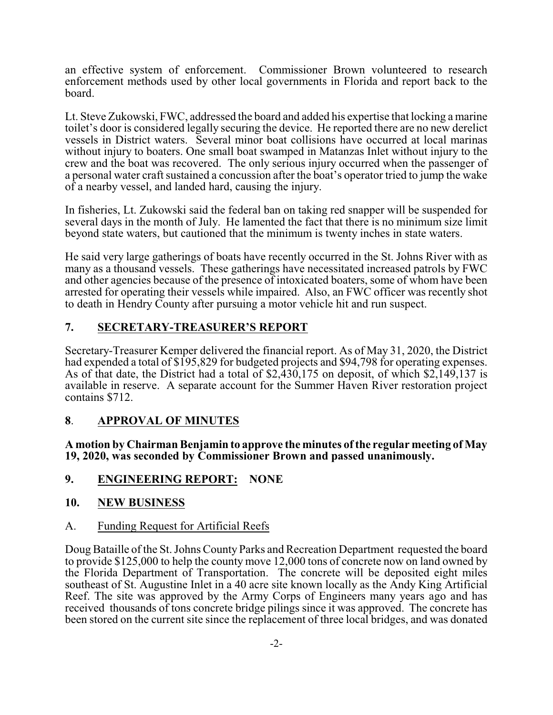an effective system of enforcement. Commissioner Brown volunteered to research enforcement methods used by other local governments in Florida and report back to the board.

Lt. Steve Zukowski, FWC, addressed the board and added his expertise that locking a marine toilet's door is considered legally securing the device. He reported there are no new derelict vessels in District waters. Several minor boat collisions have occurred at local marinas without injury to boaters. One small boat swamped in Matanzas Inlet without injury to the crew and the boat was recovered. The only serious injury occurred when the passenger of a personal water craft sustained a concussion after the boat's operator tried to jump the wake of a nearby vessel, and landed hard, causing the injury.

In fisheries, Lt. Zukowski said the federal ban on taking red snapper will be suspended for several days in the month of July. He lamented the fact that there is no minimum size limit beyond state waters, but cautioned that the minimum is twenty inches in state waters.

He said very large gatherings of boats have recently occurred in the St. Johns River with as many as a thousand vessels. These gatherings have necessitated increased patrols by FWC and other agencies because of the presence of intoxicated boaters, some of whom have been arrested for operating their vessels while impaired. Also, an FWC officer was recently shot to death in Hendry County after pursuing a motor vehicle hit and run suspect.

# **7. SECRETARY-TREASURER'S REPORT**

Secretary-Treasurer Kemper delivered the financial report. As of May 31, 2020, the District had expended a total of \$195,829 for budgeted projects and \$94,798 for operating expenses. As of that date, the District had a total of \$2,430,175 on deposit, of which \$2,149,137 is available in reserve. A separate account for the Summer Haven River restoration project contains \$712.

## **8**. **APPROVAL OF MINUTES**

**A motion by Chairman Benjamin to approve the minutes of the regular meeting of May 19, 2020, was seconded by Commissioner Brown and passed unanimously.**

### **9. ENGINEERING REPORT: NONE**

### **10. NEW BUSINESS**

### A. Funding Request for Artificial Reefs

Doug Bataille of the St. Johns County Parks and Recreation Department requested the board to provide \$125,000 to help the county move 12,000 tons of concrete now on land owned by the Florida Department of Transportation. The concrete will be deposited eight miles southeast of St. Augustine Inlet in a 40 acre site known locally as the Andy King Artificial Reef. The site was approved by the Army Corps of Engineers many years ago and has received thousands of tons concrete bridge pilings since it was approved. The concrete has been stored on the current site since the replacement of three local bridges, and was donated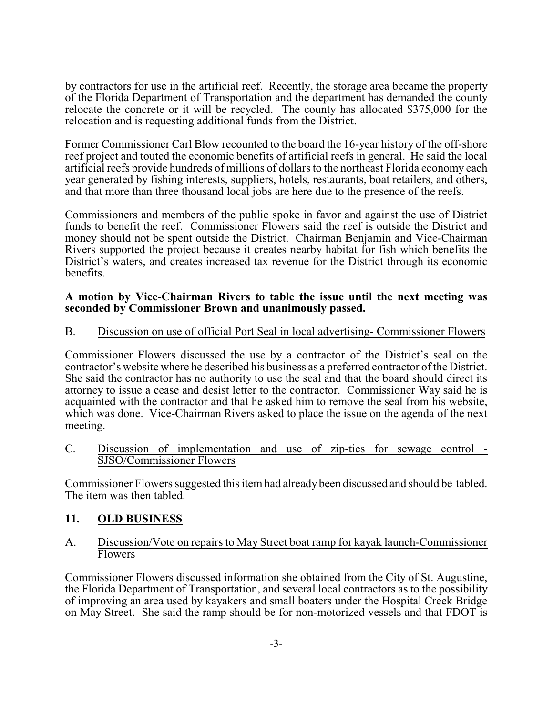by contractors for use in the artificial reef. Recently, the storage area became the property of the Florida Department of Transportation and the department has demanded the county relocate the concrete or it will be recycled. The county has allocated \$375,000 for the relocation and is requesting additional funds from the District.

Former Commissioner Carl Blow recounted to the board the 16-year history of the off-shore reef project and touted the economic benefits of artificial reefs in general. He said the local artificial reefs provide hundreds of millions of dollars to the northeast Florida economy each year generated by fishing interests, suppliers, hotels, restaurants, boat retailers, and others, and that more than three thousand local jobs are here due to the presence of the reefs.

Commissioners and members of the public spoke in favor and against the use of District funds to benefit the reef. Commissioner Flowers said the reef is outside the District and money should not be spent outside the District. Chairman Benjamin and Vice-Chairman Rivers supported the project because it creates nearby habitat for fish which benefits the District's waters, and creates increased tax revenue for the District through its economic benefits.

#### **A motion by Vice-Chairman Rivers to table the issue until the next meeting was seconded by Commissioner Brown and unanimously passed.**

#### B. Discussion on use of official Port Seal in local advertising- Commissioner Flowers

Commissioner Flowers discussed the use by a contractor of the District's seal on the contractor's website where he described his business as a preferred contractor of the District. She said the contractor has no authority to use the seal and that the board should direct its attorney to issue a cease and desist letter to the contractor. Commissioner Way said he is acquainted with the contractor and that he asked him to remove the seal from his website, which was done. Vice-Chairman Rivers asked to place the issue on the agenda of the next meeting.

#### C. Discussion of implementation and use of zip-ties for sewage control - SJSO/Commissioner Flowers

Commissioner Flowers suggested this itemhad already been discussed and should be tabled. The item was then tabled.

### **11. OLD BUSINESS**

#### A. Discussion/Vote on repairs to May Street boat ramp for kayak launch-Commissioner Flowers

Commissioner Flowers discussed information she obtained from the City of St. Augustine, the Florida Department of Transportation, and several local contractors as to the possibility of improving an area used by kayakers and small boaters under the Hospital Creek Bridge on May Street. She said the ramp should be for non-motorized vessels and that FDOT is